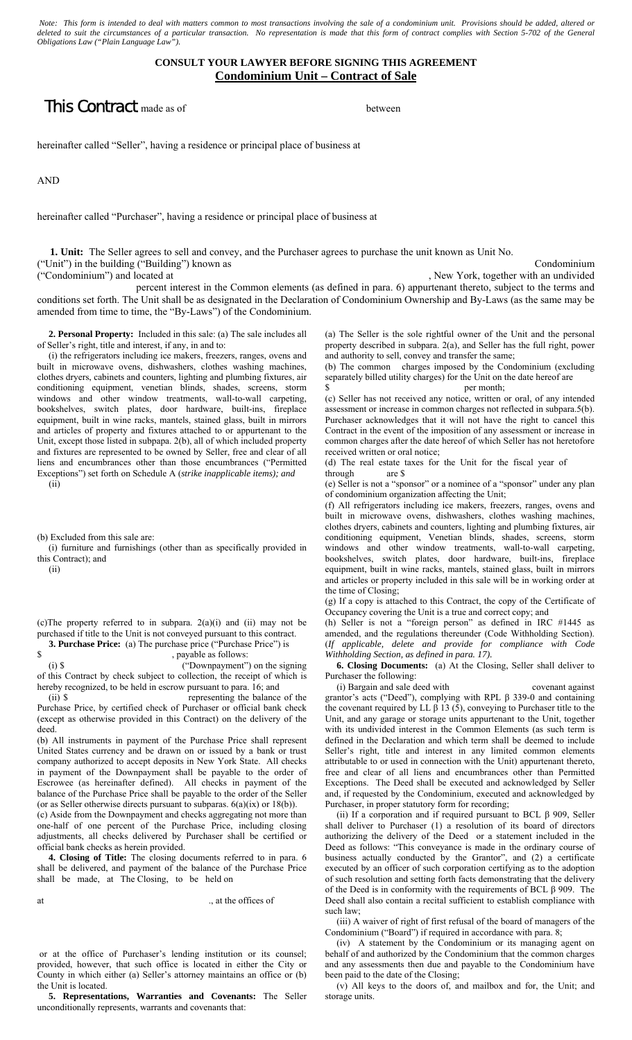*Note: This form is intended to deal with matters common to most transactions involving the sale of a condominium unit. Provisions should be added, altered or deleted to suit the circumstances of a particular transaction. No representation is made that this form of contract complies with Section 5-702 of the General Obligations Law ("Plain Language Law").* 

## **CONSULT YOUR LAWYER BEFORE SIGNING THIS AGREEMENT Condominium Unit – Contract of Sale**

## **This Contract** made as of between

hereinafter called "Seller", having a residence or principal place of business at

AND

hereinafter called "Purchaser", having a residence or principal place of business at

 **1. Unit:** The Seller agrees to sell and convey, and the Purchaser agrees to purchase the unit known as Unit No. ("Unit") in the building ("Building") known as Condominium

("Condominium") and located at , New York, together with an undivided

 percent interest in the Common elements (as defined in para. 6) appurtenant thereto, subject to the terms and conditions set forth. The Unit shall be as designated in the Declaration of Condominium Ownership and By-Laws (as the same may be amended from time to time, the "By-Laws") of the Condominium.

 **2. Personal Property:** Included in this sale: (a) The sale includes all of Seller's right, title and interest, if any, in and to:

 (i) the refrigerators including ice makers, freezers, ranges, ovens and built in microwave ovens, dishwashers, clothes washing machines, clothes dryers, cabinets and counters, lighting and plumbing fixtures, air conditioning equipment, venetian blinds, shades, screens, storm windows and other window treatments, wall-to-wall carpeting, bookshelves, switch plates, door hardware, built-ins, fireplace equipment, built in wine racks, mantels, stained glass, built in mirrors and articles of property and fixtures attached to or appurtenant to the Unit, except those listed in subpapa. 2(b), all of which included property and fixtures are represented to be owned by Seller, free and clear of all liens and encumbrances other than those encumbrances ("Permitted Exceptions") set forth on Schedule A (*strike inapplicable items); and* 

(ii)

(b) Excluded from this sale are:

 (i) furniture and furnishings (other than as specifically provided in this Contract); and

(ii)

(c)The property referred to in subpara. 2(a)(i) and (ii) may not be purchased if title to the Unit is not conveyed pursuant to this contract.

**3. Purchase Price:** (a) The purchase price ("Purchase Price") is s<br>s payable as follows:

, payable as follows:

 (i) \$ ("Downpayment") on the signing of this Contract by check subject to collection, the receipt of which is hereby recognized, to be held in escrow pursuant to para. 16; and<br>(ii) \$ representing the halance

representing the balance of the Purchase Price, by certified check of Purchaser or official bank check (except as otherwise provided in this Contract) on the delivery of the deed.

(b) All instruments in payment of the Purchase Price shall represent United States currency and be drawn on or issued by a bank or trust company authorized to accept deposits in New York State. All checks in payment of the Downpayment shall be payable to the order of Escrowee (as hereinafter defined). All checks in payment of the balance of the Purchase Price shall be payable to the order of the Seller (or as Seller otherwise directs pursuant to subparas. 6(a)(ix) or 18(b)).

(c) Aside from the Downpayment and checks aggregating not more than one-half of one percent of the Purchase Price, including closing adjustments, all checks delivered by Purchaser shall be certified or official bank checks as herein provided.

 **4. Closing of Title:** The closing documents referred to in para. 6 shall be delivered, and payment of the balance of the Purchase Price shall be made, at The Closing, to be held on

at ., at the offices of

 or at the office of Purchaser's lending institution or its counsel; provided, however, that such office is located in either the City or County in which either (a) Seller's attorney maintains an office or (b) the Unit is located.

 **5. Representations, Warranties and Covenants:** The Seller unconditionally represents, warrants and covenants that:

(a) The Seller is the sole rightful owner of the Unit and the personal property described in subpara. 2(a), and Seller has the full right, power and authority to sell, convey and transfer the same;

(b) The common charges imposed by the Condominium (excluding separately billed utility charges) for the Unit on the date hereof are per month;

(c) Seller has not received any notice, written or oral, of any intended assessment or increase in common charges not reflected in subpara.5(b). Purchaser acknowledges that it will not have the right to cancel this Contract in the event of the imposition of any assessment or increase in common charges after the date hereof of which Seller has not heretofore received written or oral notice;

(d) The real estate taxes for the Unit for the fiscal year of through are \$

(e) Seller is not a "sponsor" or a nominee of a "sponsor" under any plan of condominium organization affecting the Unit;

(f) All refrigerators including ice makers, freezers, ranges, ovens and built in microwave ovens, dishwashers, clothes washing machines, clothes dryers, cabinets and counters, lighting and plumbing fixtures, air conditioning equipment, Venetian blinds, shades, screens, storm windows and other window treatments, wall-to-wall carpeting, bookshelves, switch plates, door hardware, built-ins, fireplace equipment, built in wine racks, mantels, stained glass, built in mirrors and articles or property included in this sale will be in working order at the time of Closing;

(g) If a copy is attached to this Contract, the copy of the Certificate of Occupancy covering the Unit is a true and correct copy; and

(h) Seller is not a "foreign person" as defined in IRC #1445 as amended, and the regulations thereunder (Code Withholding Section). (*If applicable, delete and provide for compliance with Code Withholding Section, as defined in para. 17).* 

 **6. Closing Documents:** (a) At the Closing, Seller shall deliver to Purchaser the following:

 (i) Bargain and sale deed with covenant against grantor's acts ("Deed"), complying with RPL β 339-0 and containing the covenant required by LL  $\beta$  13 (5), conveying to Purchaser title to the Unit, and any garage or storage units appurtenant to the Unit, together with its undivided interest in the Common Elements (as such term is defined in the Declaration and which term shall be deemed to include Seller's right, title and interest in any limited common elements attributable to or used in connection with the Unit) appurtenant thereto, free and clear of all liens and encumbrances other than Permitted Exceptions. The Deed shall be executed and acknowledged by Seller and, if requested by the Condominium, executed and acknowledged by Purchaser, in proper statutory form for recording;

(ii) If a corporation and if required pursuant to BCL  $\beta$  909, Seller shall deliver to Purchaser (1) a resolution of its board of directors authorizing the delivery of the Deed or a statement included in the Deed as follows: "This conveyance is made in the ordinary course of business actually conducted by the Grantor", and (2) a certificate executed by an officer of such corporation certifying as to the adoption of such resolution and setting forth facts demonstrating that the delivery of the Deed is in conformity with the requirements of BCL β 909. The Deed shall also contain a recital sufficient to establish compliance with such law;

 (iii) A waiver of right of first refusal of the board of managers of the Condominium ("Board") if required in accordance with para. 8;

 (iv) A statement by the Condominium or its managing agent on behalf of and authorized by the Condominium that the common charges and any assessments then due and payable to the Condominium have been paid to the date of the Closing;

 (v) All keys to the doors of, and mailbox and for, the Unit; and storage units.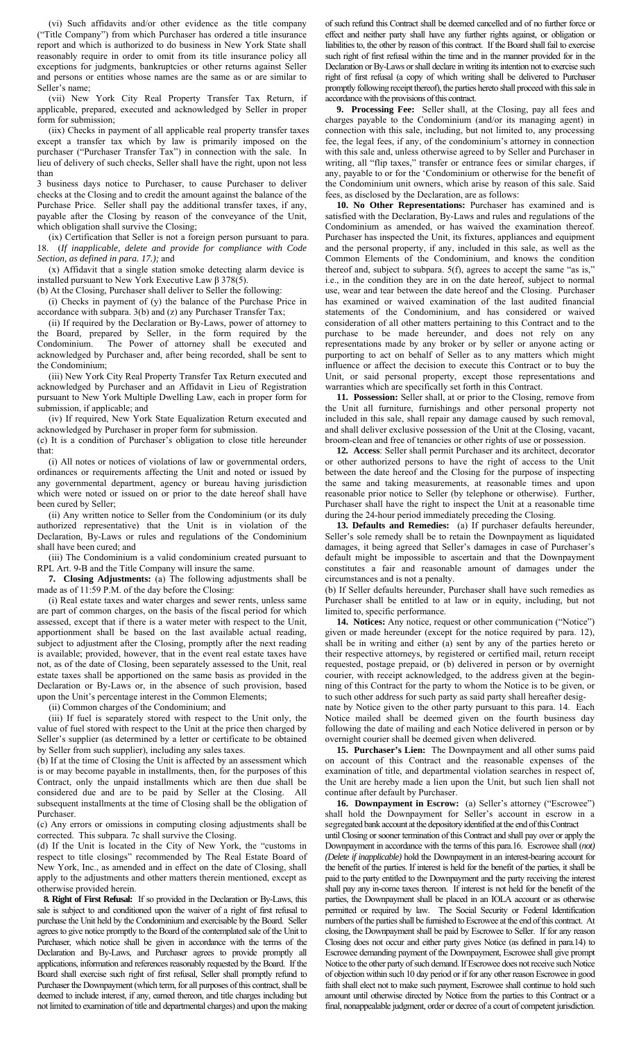(vi) Such affidavits and/or other evidence as the title company ("Title Company") from which Purchaser has ordered a title insurance report and which is authorized to do business in New York State shall reasonably require in order to omit from its title insurance policy all exceptions for judgments, bankruptcies or other returns against Seller and persons or entities whose names are the same as or are similar to Seller's name;

 (vii) New York City Real Property Transfer Tax Return, if applicable, prepared, executed and acknowledged by Seller in proper form for submission;

 (iix) Checks in payment of all applicable real property transfer taxes except a transfer tax which by law is primarily imposed on the purchaser ("Purchaser Transfer Tax") in connection with the sale. In lieu of delivery of such checks, Seller shall have the right, upon not less than

3 business days notice to Purchaser, to cause Purchaser to deliver checks at the Closing and to credit the amount against the balance of the Purchase Price. Seller shall pay the additional transfer taxes, if any, payable after the Closing by reason of the conveyance of the Unit, which obligation shall survive the Closing;

 (ix) Certification that Seller is not a foreign person pursuant to para. 18. (*If inapplicable, delete and provide for compliance with Code Section, as defined in para. 17.);* and

 (x) Affidavit that a single station smoke detecting alarm device is installed pursuant to New York Executive Law  $\beta$  378(5).

(b) At the Closing, Purchaser shall deliver to Seller the following:

 (i) Checks in payment of (y) the balance of the Purchase Price in accordance with subpara. 3(b) and (z) any Purchaser Transfer Tax;

 (ii) If required by the Declaration or By-Laws, power of attorney to the Board, prepared by Seller, in the form required by the Condominium. The Power of attorney shall be executed and acknowledged by Purchaser and, after being recorded, shall be sent to the Condominium;

 (iii) New York City Real Property Transfer Tax Return executed and acknowledged by Purchaser and an Affidavit in Lieu of Registration pursuant to New York Multiple Dwelling Law, each in proper form for submission, if applicable; and

 (iv) If required, New York State Equalization Return executed and acknowledged by Purchaser in proper form for submission.

(c) It is a condition of Purchaser's obligation to close title hereunder that:

 (i) All notes or notices of violations of law or governmental orders, ordinances or requirements affecting the Unit and noted or issued by any governmental department, agency or bureau having jurisdiction which were noted or issued on or prior to the date hereof shall have been cured by Seller;

 (ii) Any written notice to Seller from the Condominium (or its duly authorized representative) that the Unit is in violation of the Declaration, By-Laws or rules and regulations of the Condominium shall have been cured; and

 (iii) The Condominium is a valid condominium created pursuant to RPL Art. 9-B and the Title Company will insure the same.

 **7. Closing Adjustments:** (a) The following adjustments shall be made as of 11:59 P.M. of the day before the Closing:

 (i) Real estate taxes and water charges and sewer rents, unless same are part of common charges, on the basis of the fiscal period for which assessed, except that if there is a water meter with respect to the Unit, apportionment shall be based on the last available actual reading, subject to adjustment after the Closing, promptly after the next reading is available; provided, however, that in the event real estate taxes have not, as of the date of Closing, been separately assessed to the Unit, real estate taxes shall be apportioned on the same basis as provided in the Declaration or By-Laws or, in the absence of such provision, based upon the Unit's percentage interest in the Common Elements;

(ii) Common charges of the Condominium; and

 (iii) If fuel is separately stored with respect to the Unit only, the value of fuel stored with respect to the Unit at the price then charged by Seller's supplier (as determined by a letter or certificate to be obtained by Seller from such supplier), including any sales taxes.

(b) If at the time of Closing the Unit is affected by an assessment which is or may become payable in installments, then, for the purposes of this Contract, only the unpaid installments which are then due shall be considered due and are to be paid by Seller at the Closing. All subsequent installments at the time of Closing shall be the obligation of Purchaser.

(c) Any errors or omissions in computing closing adjustments shall be corrected. This subpara. 7c shall survive the Closing.

(d) If the Unit is located in the City of New York, the "customs in respect to title closings" recommended by The Real Estate Board of New York, Inc., as amended and in effect on the date of Closing, shall apply to the adjustments and other matters therein mentioned, except as otherwise provided herein.

 **8. Right of First Refusal:** If so provided in the Declaration or By-Laws, this sale is subject to and conditioned upon the waiver of a right of first refusal to purchase the Unit held by the Condominium and exercisable by the Board. Seller agrees to give notice promptly to the Board of the contemplated sale of the Unit to Purchaser, which notice shall be given in accordance with the terms of the Declaration and By-Laws, and Purchaser agrees to provide promptly all applications, information and references reasonably requested by the Board. If the Board shall exercise such right of first refusal, Seller shall promptly refund to Purchaser the Downpayment (which term, for all purposes of this contract, shall be deemed to include interest, if any, earned thereon, and title charges including but not limited to examination of title and departmental charges) and upon the making of such refund this Contract shall be deemed cancelled and of no further force or effect and neither party shall have any further rights against, or obligation or liabilities to, the other by reason of this contract. If the Board shall fail to exercise such right of first refusal within the time and in the manner provided for in the Declaration or By-Laws or shall declare in writing its intention not to exercise such right of first refusal (a copy of which writing shall be delivered to Purchaser promptly following receipt thereof), the parties hereto shall proceed with this sale in accordance with the provisions of this contract.

 **9. Processing Fee:** Seller shall, at the Closing, pay all fees and charges payable to the Condominium (and/or its managing agent) in connection with this sale, including, but not limited to, any processing fee, the legal fees, if any, of the condominium's attorney in connection with this sale and, unless otherwise agreed to by Seller and Purchaser in writing, all "flip taxes," transfer or entrance fees or similar charges, if any, payable to or for the 'Condominium or otherwise for the benefit of the Condominium unit owners, which arise by reason of this sale. Said fees, as disclosed by the Declaration, are as follows:

 **10. No Other Representations:** Purchaser has examined and is satisfied with the Declaration, By-Laws and rules and regulations of the Condominium as amended, or has waived the examination thereof. Purchaser has inspected the Unit, its fixtures, appliances and equipment and the personal property, if any, included in this sale, as well as the Common Elements of the Condominium, and knows the condition thereof and, subject to subpara. 5(f), agrees to accept the same "as is," i.e., in the condition they are in on the date hereof, subject to normal use, wear and tear between the date hereof and the Closing. Purchaser has examined or waived examination of the last audited financial statements of the Condominium, and has considered or waived consideration of all other matters pertaining to this Contract and to the purchase to be made hereunder, and does not rely on any representations made by any broker or by seller or anyone acting or purporting to act on behalf of Seller as to any matters which might influence or affect the decision to execute this Contract or to buy the Unit, or said personal property, except those representations and warranties which are specifically set forth in this Contract.

 **11. Possession:** Seller shall, at or prior to the Closing, remove from the Unit all furniture, furnishings and other personal property not included in this sale, shall repair any damage caused by such removal, and shall deliver exclusive possession of the Unit at the Closing, vacant, broom-clean and free of tenancies or other rights of use or possession.

 **12. Access**: Seller shall permit Purchaser and its architect, decorator or other authorized persons to have the right of access to the Unit between the date hereof and the Closing for the purpose of inspecting the same and taking measurements, at reasonable times and upon reasonable prior notice to Seller (by telephone or otherwise). Further, Purchaser shall have the right to inspect the Unit at a reasonable time during the 24-hour period immediately preceding the Closing.

 **13. Defaults and Remedies:** (a) If purchaser defaults hereunder, Seller's sole remedy shall be to retain the Downpayment as liquidated damages, it being agreed that Seller's damages in case of Purchaser's default might be impossible to ascertain and that the Downpayment constitutes a fair and reasonable amount of damages under the circumstances and is not a penalty.

(b) If Seller defaults hereunder, Purchaser shall have such remedies as Purchaser shall be entitled to at law or in equity, including, but not limited to, specific performance.

 **14. Notices:** Any notice, request or other communication ("Notice") given or made hereunder (except for the notice required by para. 12), shall be in writing and either (a) sent by any of the parties hereto or their respective attorneys, by registered or certified mail, return receipt requested, postage prepaid, or (b) delivered in person or by overnight courier, with receipt acknowledged, to the address given at the beginning of this Contract for the party to whom the Notice is to be given, or to such other address for such party as said party shall hereafter desig-

nate by Notice given to the other party pursuant to this para. 14. Each Notice mailed shall be deemed given on the fourth business day following the date of mailing and each Notice delivered in person or by overnight courier shall be deemed given when delivered.

 **15. Purchaser's Lien:** The Downpayment and all other sums paid on account of this Contract and the reasonable expenses of the examination of title, and departmental violation searches in respect of, the Unit are hereby made a lien upon the Unit, but such lien shall not continue after default by Purchaser.

 **16. Downpayment in Escrow:** (a) Seller's attorney ("Escrowee") shall hold the Downpayment for Seller's account in escrow in a segregated bank account at the depository identified at the end of this Contract

until Closing or sooner termination of this Contract and shall pay over or apply the Downpayment in accordance with the terms of this para.16. Escrowee shall (*not) (Delete if inapplicable)* hold the Downpayment in an interest-bearing account for the benefit of the parties. If interest is held for the benefit of the parties, it shall be paid to the party entitled to the Downpayment and the party receiving the interest shall pay any in-come taxes thereon. If interest is not held for the benefit of the parties, the Downpayment shall be placed in an IOLA account or as otherwise permitted or required by law. The Social Security or Federal Identification numbers of the parties shall be furnished to Escrowee at the end of this contract. At closing, the Downpayment shall be paid by Escrowee to Seller. If for any reason Closing does not occur and either party gives Notice (as defined in para.14) to Escrowee demanding payment of the Downpayment, Escrowee shall give prompt Notice to the other party of such demand. If Escrowee does not receive such Notice of objection within such 10 day period or if for any other reason Escrowee in good faith shall elect not to make such payment, Escrowee shall continue to hold such amount until otherwise directed by Notice from the parties to this Contract or a final, nonappealable judgment, order or decree of a court of competent jurisdiction.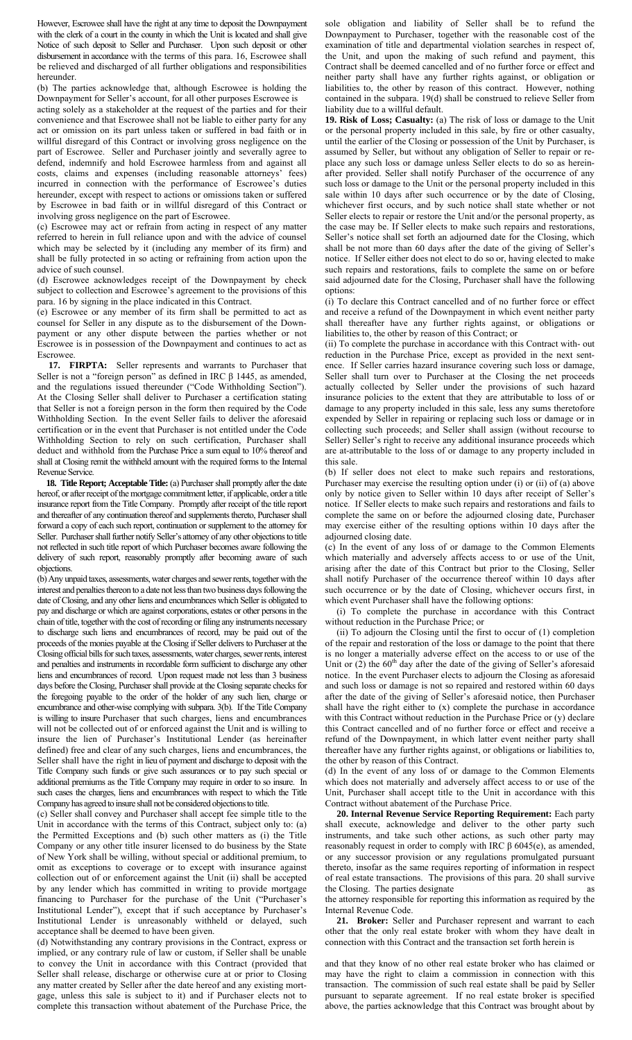However, Escrowee shall have the right at any time to deposit the Downpayment with the clerk of a court in the county in which the Unit is located and shall give Notice of such deposit to Seller and Purchaser. Upon such deposit or other disbursement in accordance with the terms of this para. 16, Escrowee shall be relieved and discharged of all further obligations and responsibilities hereunder.

(b) The parties acknowledge that, although Escrowee is holding the Downpayment for Seller's account, for all other purposes Escrowee is acting solely as a stakeholder at the request of the parties and for their convenience and that Escrowee shall not be liable to either party for any act or omission on its part unless taken or suffered in bad faith or in willful disregard of this Contract or involving gross negligence on the part of Escrowee. Seller and Purchaser jointly and severally agree to defend, indemnify and hold Escrowee harmless from and against all costs, claims and expenses (including reasonable attorneys' fees) incurred in connection with the performance of Escrowee's duties hereunder, except with respect to actions or omissions taken or suffered by Escrowee in bad faith or in willful disregard of this Contract or involving gross negligence on the part of Escrowee.

(c) Escrowee may act or refrain from acting in respect of any matter referred to herein in full reliance upon and with the advice of counsel which may be selected by it (including any member of its firm) and shall be fully protected in so acting or refraining from action upon the advice of such counsel.

(d) Escrowee acknowledges receipt of the Downpayment by check subject to collection and Escrowee's agreement to the provisions of this para. 16 by signing in the place indicated in this Contract.

(e) Escrowee or any member of its firm shall be permitted to act as counsel for Seller in any dispute as to the disbursement of the Downpayment or any other dispute between the parties whether or not Escrowee is in possession of the Downpayment and continues to act as Escrowee.

 **17. FIRPTA:** Seller represents and warrants to Purchaser that Seller is not a "foreign person" as defined in IRC  $β$  1445, as amended, and the regulations issued thereunder ("Code Withholding Section"). At the Closing Seller shall deliver to Purchaser a certification stating that Seller is not a foreign person in the form then required by the Code Withholding Section. In the event Seller fails to deliver the aforesaid certification or in the event that Purchaser is not entitled under the Code Withholding Section to rely on such certification, Purchaser shall deduct and withhold from the Purchase Price a sum equal to 10% thereof and shall at Closing remit the withheld amount with the required forms to the Internal Revenue Service.

 **18. Title Report; Acceptable Title:** (a) Purchaser shall promptly after the date hereof, or after receipt of the mortgage commitment letter, if applicable, order a title insurance report from the Title Company. Promptly after receipt of the title report and thereafter of any continuation thereof and supplements thereto, Purchaser shall forward a copy of each such report, continuation or supplement to the attorney for Seller. Purchaser shall further notify Seller's attorney of any other objections to title not reflected in such title report of which Purchaser becomes aware following the delivery of such report, reasonably promptly after becoming aware of such objections.

(b) Any unpaid taxes, assessments, water charges and sewer rents, together with the interest and penalties thereon to a date not less than two business days following the date of Closing, and any other liens and encumbrances which Seller is obligated to pay and discharge or which are against corporations, estates or other persons in the chain of title, together with the cost of recording or filing any instruments necessary to discharge such liens and encumbrances of record, may be paid out of the proceeds of the monies payable at the Closing if Seller delivers to Purchaser at the Closing official bills for such taxes, assessments, water charges, sewer rents, interest and penalties and instruments in recordable form sufficient to discharge any other liens and encumbrances of record. Upon request made not less than 3 business days before the Closing, Purchaser shall provide at the Closing separate checks for the foregoing payable to the order of the holder of any such lien, charge or encumbrance and other-wise complying with subpara. 3(b). If the Title Company is willing to insure Purchaser that such charges, liens and encumbrances will not be collected out of or enforced against the Unit and is willing to insure the lien of Purchaser's Institutional Lender (as hereinafter defined) free and clear of any such charges, liens and encumbrances, the Seller shall have the right in lieu of payment and discharge to deposit with the Title Company such funds or give such assurances or to pay such special or additional premiums as the Title Company may require in order to so insure. In such cases the charges, liens and encumbrances with respect to which the Title Company has agreed to insure shall not be considered objections to title.

(c) Seller shall convey and Purchaser shall accept fee simple title to the Unit in accordance with the terms of this Contract, subject only to: (a) the Permitted Exceptions and (b) such other matters as (i) the Title Company or any other title insurer licensed to do business by the State of New York shall be willing, without special or additional premium, to omit as exceptions to coverage or to except with insurance against collection out of or enforcement against the Unit (ii) shall be accepted by any lender which has committed in writing to provide mortgage financing to Purchaser for the purchase of the Unit ("Purchaser's Institutional Lender"), except that if such acceptance by Purchaser's Institutional Lender is unreasonably withheld or delayed, such acceptance shall be deemed to have been given.

(d) Notwithstanding any contrary provisions in the Contract, express or implied, or any contrary rule of law or custom, if Seller shall be unable to convey the Unit in accordance with this Contract (provided that Seller shall release, discharge or otherwise cure at or prior to Closing any matter created by Seller after the date hereof and any existing mortgage, unless this sale is subject to it) and if Purchaser elects not to complete this transaction without abatement of the Purchase Price, the

sole obligation and liability of Seller shall be to refund the Downpayment to Purchaser, together with the reasonable cost of the examination of title and departmental violation searches in respect of, the Unit, and upon the making of such refund and payment, this Contract shall be deemed cancelled and of no further force or effect and neither party shall have any further rights against, or obligation or liabilities to, the other by reason of this contract. However, nothing contained in the subpara. 19(d) shall be construed to relieve Seller from liability due to a willful default.

**19. Risk of Loss; Casualty:** (a) The risk of loss or damage to the Unit or the personal property included in this sale, by fire or other casualty, until the earlier of the Closing or possession of the Unit by Purchaser, is assumed by Seller, but without any obligation of Seller to repair or replace any such loss or damage unless Seller elects to do so as hereinafter provided. Seller shall notify Purchaser of the occurrence of any such loss or damage to the Unit or the personal property included in this sale within 10 days after such occurrence or by the date of Closing, whichever first occurs, and by such notice shall state whether or not Seller elects to repair or restore the Unit and/or the personal property, as the case may be. If Seller elects to make such repairs and restorations, Seller's notice shall set forth an adjourned date for the Closing, which shall be not more than 60 days after the date of the giving of Seller's notice. If Seller either does not elect to do so or, having elected to make such repairs and restorations, fails to complete the same on or before said adjourned date for the Closing, Purchaser shall have the following options:

(i) To declare this Contract cancelled and of no further force or effect and receive a refund of the Downpayment in which event neither party shall thereafter have any further rights against, or obligations or liabilities to, the other by reason of this Contract; or

(ii) To complete the purchase in accordance with this Contract with- out reduction in the Purchase Price, except as provided in the next sentence. If Seller carries hazard insurance covering such loss or damage, Seller shall turn over to Purchaser at the Closing the net proceeds actually collected by Seller under the provisions of such hazard insurance policies to the extent that they are attributable to loss of or damage to any property included in this sale, less any sums theretofore expended by Seller in repairing or replacing such loss or damage or in collecting such proceeds; and Seller shall assign (without recourse to Seller) Seller's right to receive any additional insurance proceeds which are at-attributable to the loss of or damage to any property included in this sale.

(b) If seller does not elect to make such repairs and restorations, Purchaser may exercise the resulting option under (i) or (ii) of (a) above only by notice given to Seller within 10 days after receipt of Seller's notice. If Seller elects to make such repairs and restorations and fails to complete the same on or before the adjourned closing date, Purchaser may exercise either of the resulting options within 10 days after the adjourned closing date.

(c) In the event of any loss of or damage to the Common Elements which materially and adversely affects access to or use of the Unit, arising after the date of this Contract but prior to the Closing, Seller shall notify Purchaser of the occurrence thereof within 10 days after such occurrence or by the date of Closing, whichever occurs first, in which event Purchaser shall have the following options:

 (i) To complete the purchase in accordance with this Contract without reduction in the Purchase Price; or

 (ii) To adjourn the Closing until the first to occur of (1) completion of the repair and restoration of the loss or damage to the point that there is no longer a materially adverse effect on the access to or use of the Unit or  $(2)$  the 60<sup>th</sup> day after the date of the giving of Seller's aforesaid notice. In the event Purchaser elects to adjourn the Closing as aforesaid and such loss or damage is not so repaired and restored within 60 days after the date of the giving of Seller's aforesaid notice, then Purchaser shall have the right either to (x) complete the purchase in accordance with this Contract without reduction in the Purchase Price or (y) declare this Contract cancelled and of no further force or effect and receive a refund of the Downpayment, in which latter event neither party shall thereafter have any further rights against, or obligations or liabilities to, the other by reason of this Contract.

(d) In the event of any loss of or damage to the Common Elements which does not materially and adversely affect access to or use of the Unit, Purchaser shall accept title to the Unit in accordance with this Contract without abatement of the Purchase Price.

 **20. Internal Revenue Service Reporting Requirement:** Each party shall execute, acknowledge and deliver to the other party such instruments, and take such other actions, as such other party may reasonably request in order to comply with IRC β 6045(e), as amended, or any successor provision or any regulations promulgated pursuant thereto, insofar as the same requires reporting of information in respect of real estate transactions. The provisions of this para. 20 shall survive the Closing. The parties designate as

the attorney responsible for reporting this information as required by the Internal Revenue Code.

 **21. Broker:** Seller and Purchaser represent and warrant to each other that the only real estate broker with whom they have dealt in connection with this Contract and the transaction set forth herein is

and that they know of no other real estate broker who has claimed or may have the right to claim a commission in connection with this transaction. The commission of such real estate shall be paid by Seller pursuant to separate agreement. If no real estate broker is specified above, the parties acknowledge that this Contract was brought about by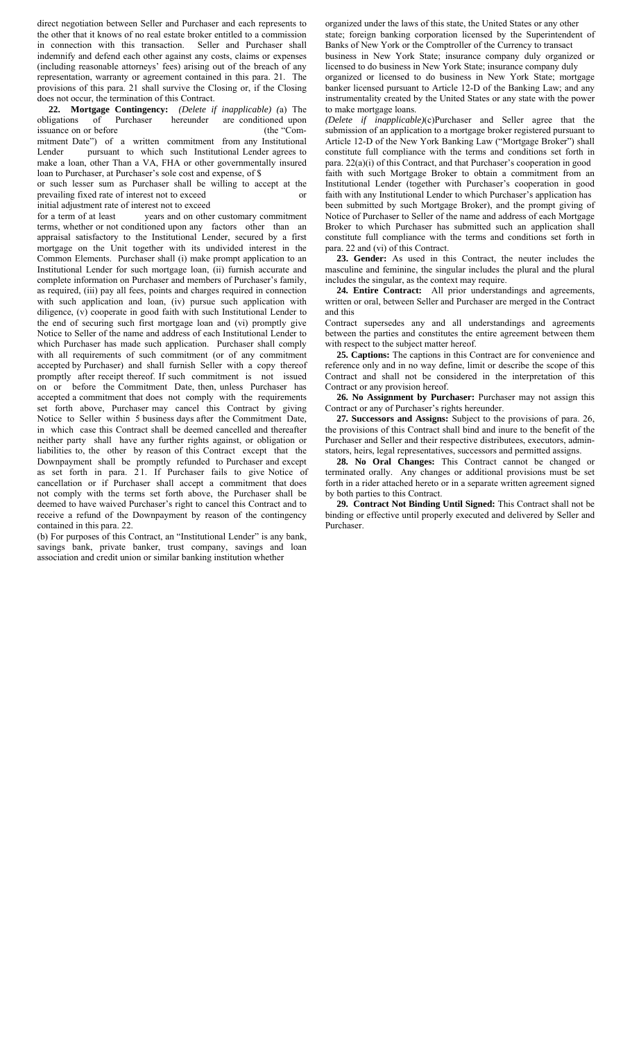direct negotiation between Seller and Purchaser and each represents to the other that it knows of no real estate broker entitled to a commission<br>in connection with this transaction. Seller and Purchaser shall in connection with this transaction. indemnify and defend each other against any costs, claims or expenses (including reasonable attorneys' fees) arising out of the breach of any representation, warranty or agreement contained in this para. 21. The provisions of this para. 21 shall survive the Closing or, if the Closing does not occur, the termination of this Contract.

 **22. Mortgage Contingency:** *(Delete if inapplicable) (*a) The obligations of Purchaser hereunder are conditioned upon issuance on or before (the "Commitment Date") of a written commitment from any Institutional Lender pursuant to which such Institutional Lender agrees to make a loan, other Than a VA, FHA or other governmentally insured loan to Purchaser, at Purchaser's sole cost and expense, of \$

or such lesser sum as Purchaser shall be willing to accept at the prevailing fixed rate of interest not to exceed or initial adjustment rate of interest not to exceed

for a term of at least years and on other customary commitment terms, whether or not conditioned upon any factors other than an appraisal satisfactory to the Institutional Lender, secured by a first mortgage on the Unit together with its undivided interest in the Common Elements. Purchaser shall (i) make prompt application to an Institutional Lender for such mortgage loan, (ii) furnish accurate and complete information on Purchaser and members of Purchaser's family, as required, (iii) pay all fees, points and charges required in connection with such application and loan, (iv) pursue such application with diligence, (v) cooperate in good faith with such Institutional Lender to the end of securing such first mortgage loan and (vi) promptly give Notice to Seller of the name and address of each Institutional Lender to which Purchaser has made such application. Purchaser shall comply with all requirements of such commitment (or of any commitment accepted by Purchaser) and shall furnish Seller with a copy thereof promptly after receipt thereof. If such commitment is not issued on or before the Commitment Date, then, unless Purchaser has accepted a commitment that does not comply with the requirements set forth above, Purchaser may cancel this Contract by giving Notice to Seller within 5 business days after the Commitment Date, in which case this Contract shall be deemed cancelled and thereafter neither party shall have any further rights against, or obligation or liabilities to, the other by reason of this Contract except that the Downpayment shall be promptly refunded to Purchaser and except as set forth in para. 2 1. If Purchaser fails to give Notice of cancellation or if Purchaser shall accept a commitment that does not comply with the terms set forth above, the Purchaser shall be deemed to have waived Purchaser's right to cancel this Contract and to receive a refund of the Downpayment by reason of the contingency contained in this para. 22.

(b) For purposes of this Contract, an "Institutional Lender" is any bank, savings bank, private banker, trust company, savings and loan association and credit union or similar banking institution whether

organized under the laws of this state, the United States or any other state; foreign banking corporation licensed by the Superintendent of Banks of New York or the Comptroller of the Currency to transact business in New York State; insurance company duly organized or

licensed to do business in New York State; insurance company duly organized or licensed to do business in New York State; mortgage banker licensed pursuant to Article 12-D of the Banking Law; and any instrumentality created by the United States or any state with the power to make mortgage loans.

*(Delete if inapplicable)*(c)Purchaser and Seller agree that the submission of an application to a mortgage broker registered pursuant to Article 12-D of the New York Banking Law ("Mortgage Broker") shall constitute full compliance with the terms and conditions set forth in para. 22(a)(i) of this Contract, and that Purchaser's cooperation in good faith with such Mortgage Broker to obtain a commitment from an Institutional Lender (together with Purchaser's cooperation in good faith with any Institutional Lender to which Purchaser's application has been submitted by such Mortgage Broker), and the prompt giving of Notice of Purchaser to Seller of the name and address of each Mortgage Broker to which Purchaser has submitted such an application shall constitute full compliance with the terms and conditions set forth in para. 22 and (vi) of this Contract.

 **23. Gender:** As used in this Contract, the neuter includes the masculine and feminine, the singular includes the plural and the plural includes the singular, as the context may require.

 **24. Entire Contract:** All prior understandings and agreements, written or oral, between Seller and Purchaser are merged in the Contract and this

Contract supersedes any and all understandings and agreements between the parties and constitutes the entire agreement between them with respect to the subject matter hereof.

 **25. Captions:** The captions in this Contract are for convenience and reference only and in no way define, limit or describe the scope of this Contract and shall not be considered in the interpretation of this Contract or any provision hereof.

 **26. No Assignment by Purchaser:** Purchaser may not assign this Contract or any of Purchaser's rights hereunder.

 **27. Successors and Assigns:** Subject to the provisions of para. 26, the provisions of this Contract shall bind and inure to the benefit of the Purchaser and Seller and their respective distributees, executors, adminstators, heirs, legal representatives, successors and permitted assigns.

 **28. No Oral Changes:** This Contract cannot be changed or terminated orally. Any changes or additional provisions must be set forth in a rider attached hereto or in a separate written agreement signed by both parties to this Contract.

 **29. Contract Not Binding Until Signed:** This Contract shall not be binding or effective until properly executed and delivered by Seller and Purchaser.